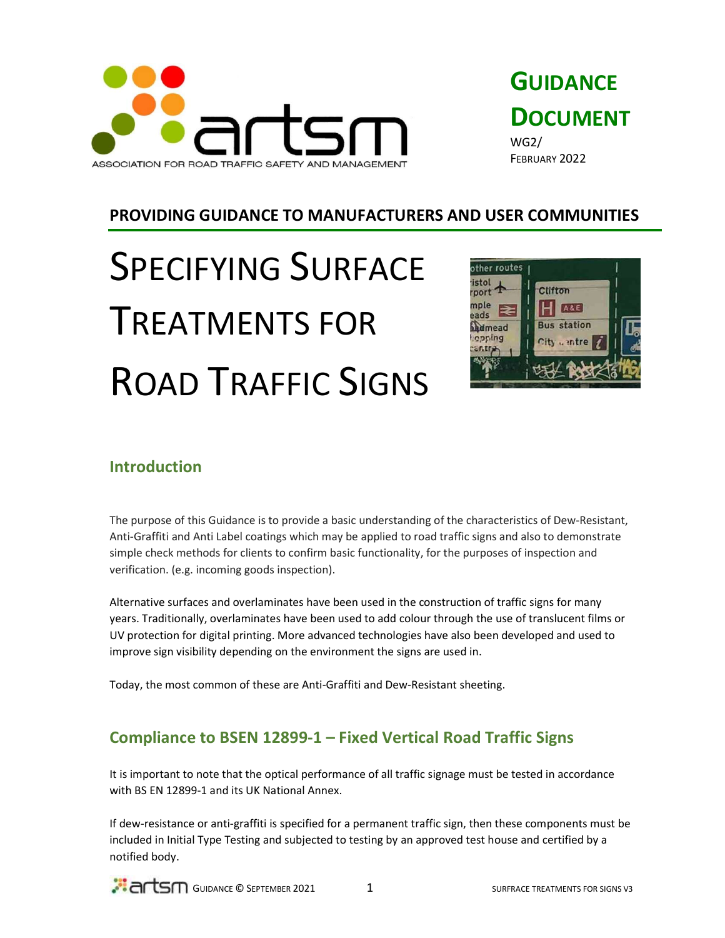



## PROVIDING GUIDANCE TO MANUFACTURERS AND USER COMMUNITIES

# SPECIFYING SURFACE TREATMENTS FOR ROAD TRAFFIC SIGNS



## Introduction

The purpose of this Guidance is to provide a basic understanding of the characteristics of Dew-Resistant, Anti-Graffiti and Anti Label coatings which may be applied to road traffic signs and also to demonstrate simple check methods for clients to confirm basic functionality, for the purposes of inspection and verification. (e.g. incoming goods inspection).

Alternative surfaces and overlaminates have been used in the construction of traffic signs for many years. Traditionally, overlaminates have been used to add colour through the use of translucent films or UV protection for digital printing. More advanced technologies have also been developed and used to improve sign visibility depending on the environment the signs are used in.

Today, the most common of these are Anti-Graffiti and Dew-Resistant sheeting.

# Compliance to BSEN 12899-1 – Fixed Vertical Road Traffic Signs

It is important to note that the optical performance of all traffic signage must be tested in accordance with BS EN 12899-1 and its UK National Annex.

If dew-resistance or anti-graffiti is specified for a permanent traffic sign, then these components must be included in Initial Type Testing and subjected to testing by an approved test house and certified by a notified body.

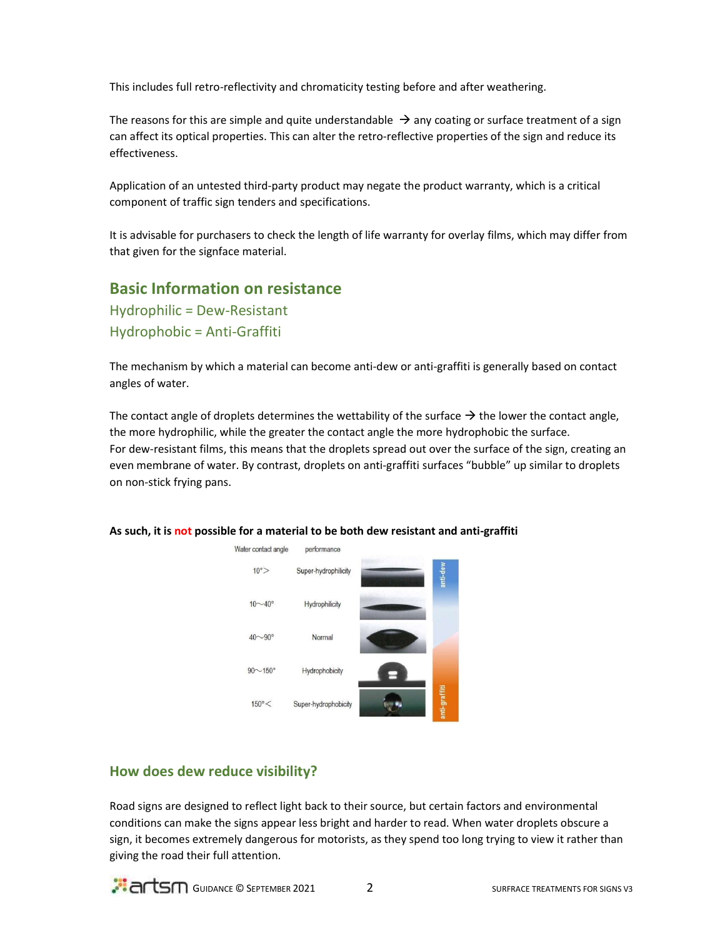This includes full retro-reflectivity and chromaticity testing before and after weathering.

The reasons for this are simple and quite understandable  $\rightarrow$  any coating or surface treatment of a sign can affect its optical properties. This can alter the retro-reflective properties of the sign and reduce its effectiveness.

Application of an untested third-party product may negate the product warranty, which is a critical component of traffic sign tenders and specifications.

It is advisable for purchasers to check the length of life warranty for overlay films, which may differ from that given for the signface material.

### Basic Information on resistance

Hydrophilic = Dew-Resistant Hydrophobic = Anti-Graffiti

The mechanism by which a material can become anti-dew or anti-graffiti is generally based on contact angles of water.

The contact angle of droplets determines the wettability of the surface  $\rightarrow$  the lower the contact angle, the more hydrophilic, while the greater the contact angle the more hydrophobic the surface. For dew-resistant films, this means that the droplets spread out over the surface of the sign, creating an even membrane of water. By contrast, droplets on anti-graffiti surfaces "bubble" up similar to droplets on non-stick frying pans.



#### As such, it is not possible for a material to be both dew resistant and anti-graffiti

#### How does dew reduce visibility?

Road signs are designed to reflect light back to their source, but certain factors and environmental conditions can make the signs appear less bright and harder to read. When water droplets obscure a sign, it becomes extremely dangerous for motorists, as they spend too long trying to view it rather than giving the road their full attention.

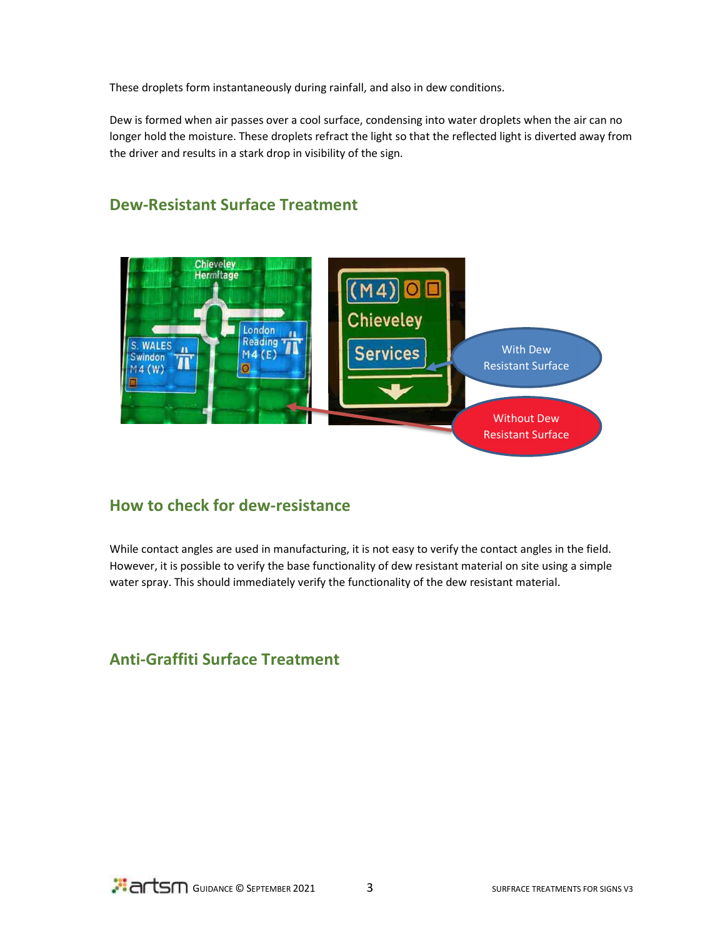These droplets form instantaneously during rainfall, and also in dew conditions.

Dew is formed when air passes over a cool surface, condensing into water droplets when the air can no longer hold the moisture. These droplets refract the light so that the reflected light is diverted away from the driver and results in a stark drop in visibility of the sign.



# Dew-Resistant Surface Treatment

## How to check for dew-resistance

While contact angles are used in manufacturing, it is not easy to verify the contact angles in the field. However, it is possible to verify the base functionality of dew resistant material on site using a simple water spray. This should immediately verify the functionality of the dew resistant material.

# Anti-Graffiti Surface Treatment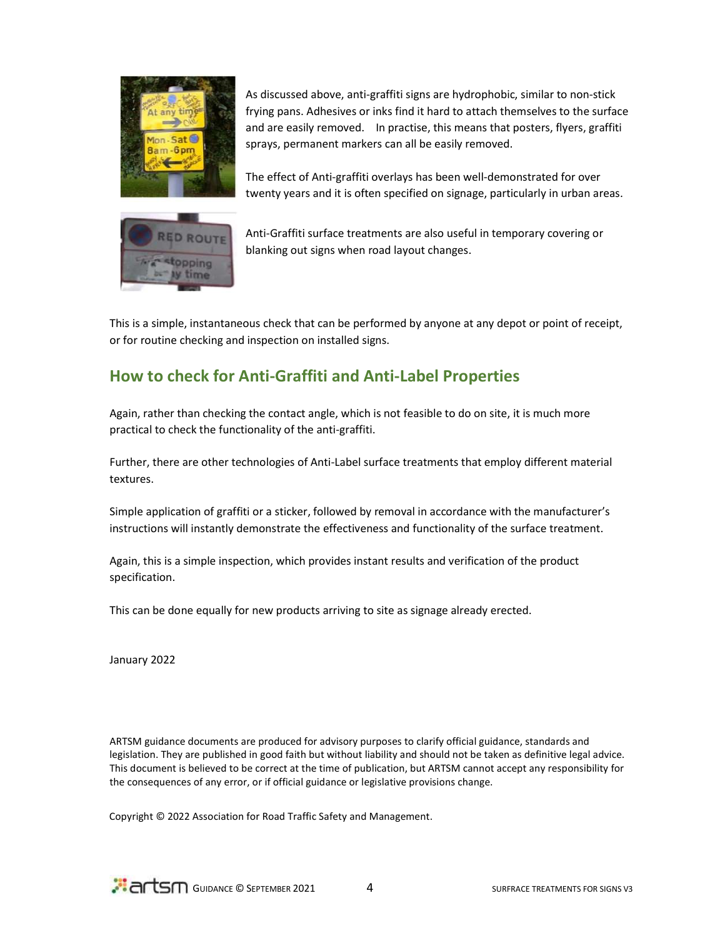

As discussed above, anti-graffiti signs are hydrophobic, similar to non-stick frying pans. Adhesives or inks find it hard to attach themselves to the surface and are easily removed. In practise, this means that posters, flyers, graffiti sprays, permanent markers can all be easily removed.

The effect of Anti-graffiti overlays has been well-demonstrated for over twenty years and it is often specified on signage, particularly in urban areas.



Anti-Graffiti surface treatments are also useful in temporary covering or blanking out signs when road layout changes.

This is a simple, instantaneous check that can be performed by anyone at any depot or point of receipt, or for routine checking and inspection on installed signs.

# How to check for Anti-Graffiti and Anti-Label Properties

Again, rather than checking the contact angle, which is not feasible to do on site, it is much more practical to check the functionality of the anti-graffiti.

Further, there are other technologies of Anti-Label surface treatments that employ different material textures.

Simple application of graffiti or a sticker, followed by removal in accordance with the manufacturer's instructions will instantly demonstrate the effectiveness and functionality of the surface treatment.

Again, this is a simple inspection, which provides instant results and verification of the product specification.

This can be done equally for new products arriving to site as signage already erected.

January 2022

ARTSM guidance documents are produced for advisory purposes to clarify official guidance, standards and legislation. They are published in good faith but without liability and should not be taken as definitive legal advice. This document is believed to be correct at the time of publication, but ARTSM cannot accept any responsibility for the consequences of any error, or if official guidance or legislative provisions change.

Copyright © 2022 Association for Road Traffic Safety and Management.